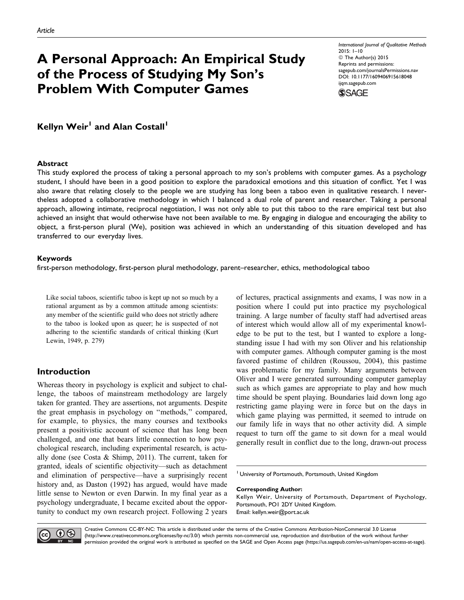# A Personal Approach: An Empirical Study of the Process of Studying My Son's Problem With Computer Games

International Journal of Qualitative Methods 2015: 1–10 © The Author(s) 2015 Reprints and permissions: [sagepub.com/journalsPermissions.nav](http://www.sagepub.com/journalsPermissions.nav) DOI: 10.1177/1609406915618048 [ijqm.sagepub.com](http://ijqm.sagepub.com)



Kellyn Weir<sup>1</sup> and Alan Costall<sup>1</sup>

#### Abstract

This study explored the process of taking a personal approach to my son's problems with computer games. As a psychology student, I should have been in a good position to explore the paradoxical emotions and this situation of conflict. Yet I was also aware that relating closely to the people we are studying has long been a taboo even in qualitative research. I nevertheless adopted a collaborative methodology in which I balanced a dual role of parent and researcher. Taking a personal approach, allowing intimate, reciprocal negotiation, I was not only able to put this taboo to the rare empirical test but also achieved an insight that would otherwise have not been available to me. By engaging in dialogue and encouraging the ability to object, a first-person plural (We), position was achieved in which an understanding of this situation developed and has transferred to our everyday lives.

#### Keywords

first-person methodology, first-person plural methodology, parent–researcher, ethics, methodological taboo

Like social taboos, scientific taboo is kept up not so much by a rational argument as by a common attitude among scientists: any member of the scientific guild who does not strictly adhere to the taboo is looked upon as queer; he is suspected of not adhering to the scientific standards of critical thinking (Kurt Lewin, 1949, p. 279)

# Introduction

Whereas theory in psychology is explicit and subject to challenge, the taboos of mainstream methodology are largely taken for granted. They are assertions, not arguments. Despite the great emphasis in psychology on ''methods,'' compared, for example, to physics, the many courses and textbooks present a positivistic account of science that has long been challenged, and one that bears little connection to how psychological research, including experimental research, is actually done (see Costa & Shimp, 2011). The current, taken for granted, ideals of scientific objectivity—such as detachment and elimination of perspective—have a surprisingly recent history and, as Daston (1992) has argued, would have made little sense to Newton or even Darwin. In my final year as a psychology undergraduate, I became excited about the opportunity to conduct my own research project. Following 2 years

of lectures, practical assignments and exams, I was now in a position where I could put into practice my psychological training. A large number of faculty staff had advertised areas of interest which would allow all of my experimental knowledge to be put to the test, but I wanted to explore a longstanding issue I had with my son Oliver and his relationship with computer games. Although computer gaming is the most favored pastime of children (Roussou, 2004), this pastime was problematic for my family. Many arguments between Oliver and I were generated surrounding computer gameplay such as which games are appropriate to play and how much time should be spent playing. Boundaries laid down long ago restricting game playing were in force but on the days in which game playing was permitted, it seemed to intrude on our family life in ways that no other activity did. A simple request to turn off the game to sit down for a meal would generally result in conflict due to the long, drawn-out process

<sup>1</sup> University of Portsmouth, Portsmouth, United Kingdom

#### Corresponding Author:

Kellyn Weir, University of Portsmouth, Department of Psychology, Portsmouth, PO1 2DY United Kingdom. Email: [kellyn.weir@port.ac.uk](mailto:kellyn.weir@port.ac.uk)



Creative Commons CC-BY-NC: This article is distributed under the terms of the Creative Commons Attribution-NonCommercial 3.0 License (http://www.creativecommons.org/licenses/by-nc/3.0/) which permits non-commercial use, reproduction and distribution of the work without further permission provided the original work is attributed as specified on the SAGE and Open Access page (https://us.sagepub.com/en-us/nam/open-access-at-sage).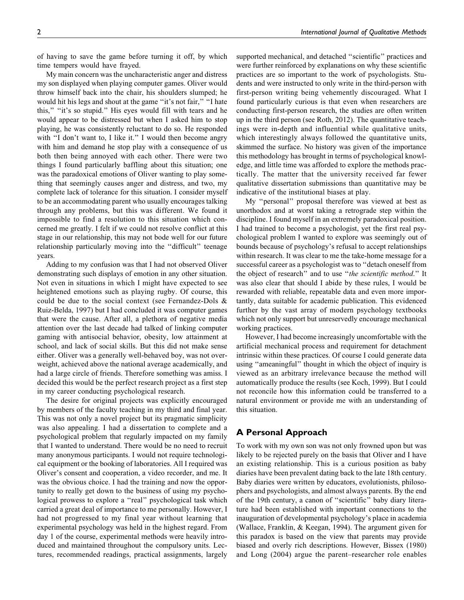of having to save the game before turning it off, by which time tempers would have frayed.

My main concern was the uncharacteristic anger and distress my son displayed when playing computer games. Oliver would throw himself back into the chair, his shoulders slumped; he would hit his legs and shout at the game ''it's not fair,'' ''I hate this,'' ''it's so stupid.'' His eyes would fill with tears and he would appear to be distressed but when I asked him to stop playing, he was consistently reluctant to do so. He responded with "I don't want to, I like it." I would then become angry with him and demand he stop play with a consequence of us both then being annoyed with each other. There were two things I found particularly baffling about this situation; one was the paradoxical emotions of Oliver wanting to play something that seemingly causes anger and distress, and two, my complete lack of tolerance for this situation. I consider myself to be an accommodating parent who usually encourages talking through any problems, but this was different. We found it impossible to find a resolution to this situation which concerned me greatly. I felt if we could not resolve conflict at this stage in our relationship, this may not bode well for our future relationship particularly moving into the ''difficult'' teenage years.

Adding to my confusion was that I had not observed Oliver demonstrating such displays of emotion in any other situation. Not even in situations in which I might have expected to see heightened emotions such as playing rugby. Of course, this could be due to the social context (see Fernandez-Dols & Ruiz-Belda, 1997) but I had concluded it was computer games that were the cause. After all, a plethora of negative media attention over the last decade had talked of linking computer gaming with antisocial behavior, obesity, low attainment at school, and lack of social skills. But this did not make sense either. Oliver was a generally well-behaved boy, was not overweight, achieved above the national average academically, and had a large circle of friends. Therefore something was amiss. I decided this would be the perfect research project as a first step in my career conducting psychological research.

The desire for original projects was explicitly encouraged by members of the faculty teaching in my third and final year. This was not only a novel project but its pragmatic simplicity was also appealing. I had a dissertation to complete and a psychological problem that regularly impacted on my family that I wanted to understand. There would be no need to recruit many anonymous participants. I would not require technological equipment or the booking of laboratories. All I required was Oliver's consent and cooperation, a video recorder, and me. It was the obvious choice. I had the training and now the opportunity to really get down to the business of using my psychological prowess to explore a ''real'' psychological task which carried a great deal of importance to me personally. However, I had not progressed to my final year without learning that experimental psychology was held in the highest regard. From day 1 of the course, experimental methods were heavily introduced and maintained throughout the compulsory units. Lectures, recommended readings, practical assignments, largely

supported mechanical, and detached ''scientific'' practices and were further reinforced by explanations on why these scientific practices are so important to the work of psychologists. Students and were instructed to only write in the third-person with first-person writing being vehemently discouraged. What I found particularly curious is that even when researchers are conducting first-person research, the studies are often written up in the third person (see Roth, 2012). The quantitative teachings were in-depth and influential while qualitative units, which interestingly always followed the quantitative units, skimmed the surface. No history was given of the importance this methodology has brought in terms of psychological knowledge, and little time was afforded to explore the methods practically. The matter that the university received far fewer qualitative dissertation submissions than quantitative may be indicative of the institutional biases at play.

My ''personal'' proposal therefore was viewed at best as unorthodox and at worst taking a retrograde step within the discipline. I found myself in an extremely paradoxical position. I had trained to become a psychologist, yet the first real psychological problem I wanted to explore was seemingly out of bounds because of psychology's refusal to accept relationships within research. It was clear to me the take-home message for a successful career as a psychologist was to ''detach oneself from the object of research" and to use "*the scientific method*." It was also clear that should I abide by these rules, I would be rewarded with reliable, repeatable data and even more importantly, data suitable for academic publication. This evidenced further by the vast array of modern psychology textbooks which not only support but unreservedly encourage mechanical working practices.

However, I had become increasingly uncomfortable with the artificial mechanical process and requirement for detachment intrinsic within these practices. Of course I could generate data using ''ameaningful'' thought in which the object of inquiry is viewed as an arbitrary irrelevance because the method will automatically produce the results (see Koch, 1999). But I could not reconcile how this information could be transferred to a natural environment or provide me with an understanding of this situation.

### A Personal Approach

To work with my own son was not only frowned upon but was likely to be rejected purely on the basis that Oliver and I have an existing relationship. This is a curious position as baby diaries have been prevalent dating back to the late 18th century. Baby diaries were written by educators, evolutionists, philosophers and psychologists, and almost always parents. By the end of the 19th century, a canon of ''scientific'' baby diary literature had been established with important connections to the inauguration of developmental psychology's place in academia (Wallace, Franklin, & Keegan, 1994). The argument given for this paradox is based on the view that parents may provide biased and overly rich descriptions. However, Bissex (1980) and Long (2004) argue the parent–researcher role enables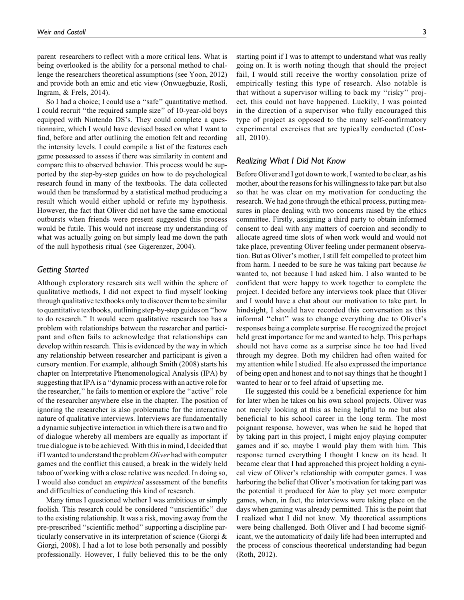parent–researchers to reflect with a more critical lens. What is being overlooked is the ability for a personal method to challenge the researchers theoretical assumptions (see Yoon, 2012) and provide both an emic and etic view (Onwuegbuzie, Rosli, Ingram, & Frels, 2014).

So I had a choice; I could use a "safe" quantitative method. I could recruit ''the required sample size'' of 10-year-old boys equipped with Nintendo DS's. They could complete a questionnaire, which I would have devised based on what I want to find, before and after outlining the emotion felt and recording the intensity levels. I could compile a list of the features each game possessed to assess if there was similarity in content and compare this to observed behavior. This process would be supported by the step-by-step guides on how to do psychological research found in many of the textbooks. The data collected would then be transformed by a statistical method producing a result which would either uphold or refute my hypothesis. However, the fact that Oliver did not have the same emotional outbursts when friends were present suggested this process would be futile. This would not increase my understanding of what was actually going on but simply lead me down the path of the null hypothesis ritual (see Gigerenzer, 2004).

#### Getting Started

Although exploratory research sits well within the sphere of qualitative methods, I did not expect to find myself looking through qualitative textbooks only to discover them to be similar to quantitative textbooks, outlining step-by-step guides on ''how to do research.'' It would seem qualitative research too has a problem with relationships between the researcher and participant and often fails to acknowledge that relationships can develop within research. This is evidenced by the way in which any relationship between researcher and participant is given a cursory mention. For example, although Smith (2008) starts his chapter on Interpretative Phenomenological Analysis (IPA) by suggesting that IPA is a ''dynamic process with an active role for the researcher,'' he fails to mention or explore the ''active'' role of the researcher anywhere else in the chapter. The position of ignoring the researcher is also problematic for the interactive nature of qualitative interviews. Interviews are fundamentally a dynamic subjective interaction in which there is a two and fro of dialogue whereby all members are equally as important if true dialogue is to be achieved. With this in mind, I decided that if I wanted to understand the problem *Oliver* had with computer games and the conflict this caused, a break in the widely held taboo of working with a close relative was needed. In doing so, I would also conduct an empirical assessment of the benefits and difficulties of conducting this kind of research.

Many times I questioned whether I was ambitious or simply foolish. This research could be considered ''unscientific'' due to the existing relationship. It was a risk, moving away from the pre-prescribed ''scientific method'' supporting a discipline particularly conservative in its interpretation of science (Giorgi & Giorgi, 2008). I had a lot to lose both personally and possibly professionally. However, I fully believed this to be the only starting point if I was to attempt to understand what was really going on. It is worth noting though that should the project fail, I would still receive the worthy consolation prize of empirically testing this type of research. Also notable is that without a supervisor willing to back my ''risky'' project, this could not have happened. Luckily, I was pointed in the direction of a supervisor who fully encouraged this type of project as opposed to the many self-confirmatory experimental exercises that are typically conducted (Costall, 2010).

#### Realizing What I Did Not Know

Before Oliver and I got down to work, I wanted to be clear, as his mother, about the reasons for his willingness to take part but also so that he was clear on my motivation for conducting the research. We had gone through the ethical process, putting measures in place dealing with two concerns raised by the ethics committee. Firstly, assigning a third party to obtain informed consent to deal with any matters of coercion and secondly to allocate agreed time slots of when work would and would not take place, preventing Oliver feeling under permanent observation. But as Oliver's mother, I still felt compelled to protect him from harm. I needed to be sure he was taking part because he wanted to, not because I had asked him. I also wanted to be confident that were happy to work together to complete the project. I decided before any interviews took place that Oliver and I would have a chat about our motivation to take part. In hindsight, I should have recorded this conversation as this informal ''chat'' was to change everything due to Oliver's responses being a complete surprise. He recognized the project held great importance for me and wanted to help. This perhaps should not have come as a surprise since he too had lived through my degree. Both my children had often waited for my attention while I studied. He also expressed the importance of being open and honest and to not say things that he thought I wanted to hear or to feel afraid of upsetting me.

He suggested this could be a beneficial experience for him for later when he takes on his own school projects. Oliver was not merely looking at this as being helpful to me but also beneficial to his school career in the long term. The most poignant response, however, was when he said he hoped that by taking part in this project, I might enjoy playing computer games and if so, maybe I would play them with him. This response turned everything I thought I knew on its head. It became clear that I had approached this project holding a cynical view of Oliver's relationship with computer games. I was harboring the belief that Oliver's motivation for taking part was the potential it produced for him to play yet more computer games, when, in fact, the interviews were taking place on the days when gaming was already permitted. This is the point that I realized what I did not know. My theoretical assumptions were being challenged. Both Oliver and I had become significant, we the automaticity of daily life had been interrupted and the process of conscious theoretical understanding had begun (Roth, 2012).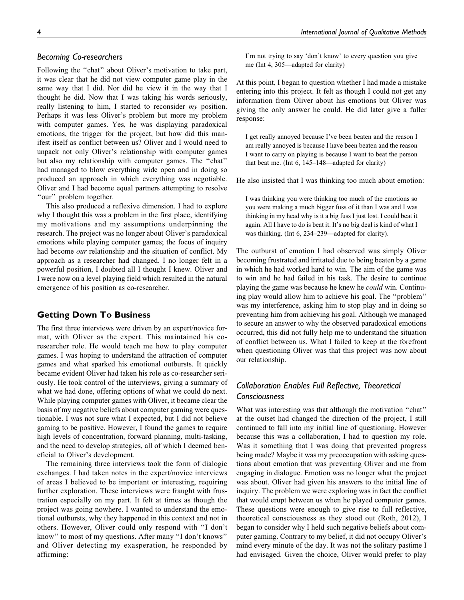### Becoming Co-researchers

Following the "chat" about Oliver's motivation to take part, it was clear that he did not view computer game play in the same way that I did. Nor did he view it in the way that I thought he did. Now that I was taking his words seriously, really listening to him, I started to reconsider my position. Perhaps it was less Oliver's problem but more my problem with computer games. Yes, he was displaying paradoxical emotions, the trigger for the project, but how did this manifest itself as conflict between us? Oliver and I would need to unpack not only Oliver's relationship with computer games but also my relationship with computer games. The ''chat'' had managed to blow everything wide open and in doing so produced an approach in which everything was negotiable. Oliver and I had become equal partners attempting to resolve "our" problem together.

This also produced a reflexive dimension. I had to explore why I thought this was a problem in the first place, identifying my motivations and my assumptions underpinning the research. The project was no longer about Oliver's paradoxical emotions while playing computer games; the focus of inquiry had become *our* relationship and the situation of conflict. My approach as a researcher had changed. I no longer felt in a powerful position, I doubted all I thought I knew. Oliver and I were now on a level playing field which resulted in the natural emergence of his position as co-researcher.

### Getting Down To Business

The first three interviews were driven by an expert/novice format, with Oliver as the expert. This maintained his coresearcher role. He would teach me how to play computer games. I was hoping to understand the attraction of computer games and what sparked his emotional outbursts. It quickly became evident Oliver had taken his role as co-researcher seriously. He took control of the interviews, giving a summary of what we had done, offering options of what we could do next. While playing computer games with Oliver, it became clear the basis of my negative beliefs about computer gaming were questionable. I was not sure what I expected, but I did not believe gaming to be positive. However, I found the games to require high levels of concentration, forward planning, multi-tasking, and the need to develop strategies, all of which I deemed beneficial to Oliver's development.

The remaining three interviews took the form of dialogic exchanges. I had taken notes in the expert/novice interviews of areas I believed to be important or interesting, requiring further exploration. These interviews were fraught with frustration especially on my part. It felt at times as though the project was going nowhere. I wanted to understand the emotional outbursts, why they happened in this context and not in others. However, Oliver could only respond with ''I don't know'' to most of my questions. After many ''I don't knows'' and Oliver detecting my exasperation, he responded by affirming:

I'm not trying to say 'don't know' to every question you give me (Int 4, 305—adapted for clarity)

At this point, I began to question whether I had made a mistake entering into this project. It felt as though I could not get any information from Oliver about his emotions but Oliver was giving the only answer he could. He did later give a fuller response:

I get really annoyed because I've been beaten and the reason I am really annoyed is because I have been beaten and the reason I want to carry on playing is because I want to beat the person that beat me. (Int 6, 145–148—adapted for clarity)

He also insisted that I was thinking too much about emotion:

I was thinking you were thinking too much of the emotions so you were making a much bigger fuss of it than I was and I was thinking in my head why is it a big fuss I just lost. I could beat it again. All I have to do is beat it. It's no big deal is kind of what I was thinking. (Int 6, 234–239—adapted for clarity).

The outburst of emotion I had observed was simply Oliver becoming frustrated and irritated due to being beaten by a game in which he had worked hard to win. The aim of the game was to win and he had failed in his task. The desire to continue playing the game was because he knew he *could* win. Continuing play would allow him to achieve his goal. The ''problem'' was my interference, asking him to stop play and in doing so preventing him from achieving his goal. Although we managed to secure an answer to why the observed paradoxical emotions occurred, this did not fully help me to understand the situation of conflict between us. What I failed to keep at the forefront when questioning Oliver was that this project was now about our relationship.

# Collaboration Enables Full Reflective, Theoretical Consciousness

What was interesting was that although the motivation ''chat'' at the outset had changed the direction of the project, I still continued to fall into my initial line of questioning. However because this was a collaboration, I had to question my role. Was it something that I was doing that prevented progress being made? Maybe it was my preoccupation with asking questions about emotion that was preventing Oliver and me from engaging in dialogue. Emotion was no longer what the project was about. Oliver had given his answers to the initial line of inquiry. The problem we were exploring was in fact the conflict that would erupt between us when he played computer games. These questions were enough to give rise to full reflective, theoretical consciousness as they stood out (Roth, 2012), I began to consider why I held such negative beliefs about computer gaming. Contrary to my belief, it did not occupy Oliver's mind every minute of the day. It was not the solitary pastime I had envisaged. Given the choice, Oliver would prefer to play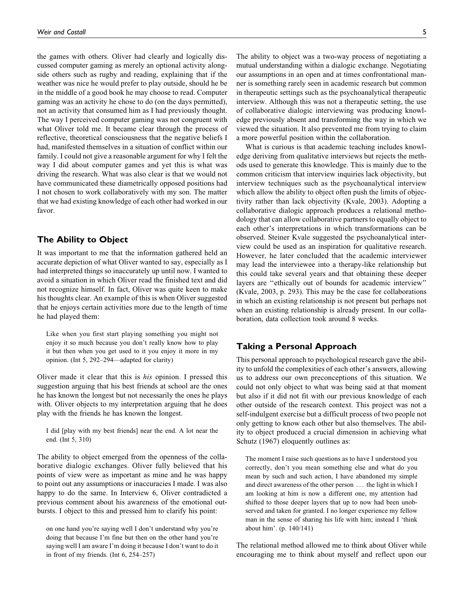the games with others. Oliver had clearly and logically discussed computer gaming as merely an optional activity alongside others such as rugby and reading, explaining that if the weather was nice he would prefer to play outside, should he be in the middle of a good book he may choose to read. Computer gaming was an activity he chose to do (on the days permitted), not an activity that consumed him as I had previously thought. The way I perceived computer gaming was not congruent with what Oliver told me. It became clear through the process of reflective, theoretical consciousness that the negative beliefs I had, manifested themselves in a situation of conflict within our family. I could not give a reasonable argument for why I felt the way I did about computer games and yet this is what was driving the research. What was also clear is that we would not have communicated these diametrically opposed positions had I not chosen to work collaboratively with my son. The matter that we had existing knowledge of each other had worked in our favor.

### The Ability to Object

It was important to me that the information gathered held an accurate depiction of what Oliver wanted to say, especially as I had interpreted things so inaccurately up until now. I wanted to avoid a situation in which Oliver read the finished text and did not recognize himself. In fact, Oliver was quite keen to make his thoughts clear. An example of this is when Oliver suggested that he enjoys certain activities more due to the length of time he had played them:

Like when you first start playing something you might not enjoy it so much because you don't really know how to play it but then when you get used to it you enjoy it more in my opinion. (Int 5, 292–294—adapted for clarity)

Oliver made it clear that this is *his* opinion. I pressed this suggestion arguing that his best friends at school are the ones he has known the longest but not necessarily the ones he plays with. Oliver objects to my interpretation arguing that he does play with the friends he has known the longest.

I did [play with my best friends] near the end. A lot near the end. (Int 5, 310)

The ability to object emerged from the openness of the collaborative dialogic exchanges. Oliver fully believed that his points of view were as important as mine and he was happy to point out any assumptions or inaccuracies I made. I was also happy to do the same. In Interview 6, Oliver contradicted a previous comment about his awareness of the emotional outbursts. I object to this and pressed him to clarify his point:

on one hand you're saying well I don't understand why you're doing that because I'm fine but then on the other hand you're saying well I am aware I'm doing it because I don't want to do it in front of my friends. (Int 6, 254–257)

The ability to object was a two-way process of negotiating a mutual understanding within a dialogic exchange. Negotiating our assumptions in an open and at times confrontational manner is something rarely seen in academic research but common in therapeutic settings such as the psychoanalytical therapeutic interview. Although this was not a therapeutic setting, the use of collaborative dialogic interviewing was producing knowledge previously absent and transforming the way in which we viewed the situation. It also prevented me from trying to claim a more powerful position within the collaboration.

What is curious is that academic teaching includes knowledge deriving from qualitative interviews but rejects the methods used to generate this knowledge. This is mainly due to the common criticism that interview inquiries lack objectivity, but interview techniques such as the psychoanalytical interview which allow the ability to object often push the limits of objectivity rather than lack objectivity (Kvale, 2003). Adopting a collaborative dialogic approach produces a relational methodology that can allow collaborative partners to equally object to each other's interpretations in which transformations can be observed. Steiner Kvale suggested the psychoanalytical interview could be used as an inspiration for qualitative research. However, he later concluded that the academic interviewer may lead the interviewee into a therapy-like relationship but this could take several years and that obtaining these deeper layers are ''ethically out of bounds for academic interview'' (Kvale, 2003, p. 293). This may be the case for collaborations in which an existing relationship is not present but perhaps not when an existing relationship is already present. In our collaboration, data collection took around 8 weeks.

# Taking a Personal Approach

This personal approach to psychological research gave the ability to unfold the complexities of each other's answers, allowing us to address our own preconceptions of this situation. We could not only object to what was being said at that moment but also if it did not fit with our previous knowledge of each other outside of the research context. This project was not a self-indulgent exercise but a difficult process of two people not only getting to know each other but also themselves. The ability to object produced a crucial dimension in achieving what Schutz (1967) eloquently outlines as:

The moment I raise such questions as to have I understood you correctly, don't you mean something else and what do you mean by such and such action, I have abandoned my simple and direct awareness of the other person ... the light in which I am looking at him is now a different one, my attention had shifted to those deeper layers that up to now had been unobserved and taken for granted. I no longer experience my fellow man in the sense of sharing his life with him; instead I 'think about him'. (p. 140/141)

The relational method allowed me to think about Oliver while encouraging me to think about myself and reflect upon our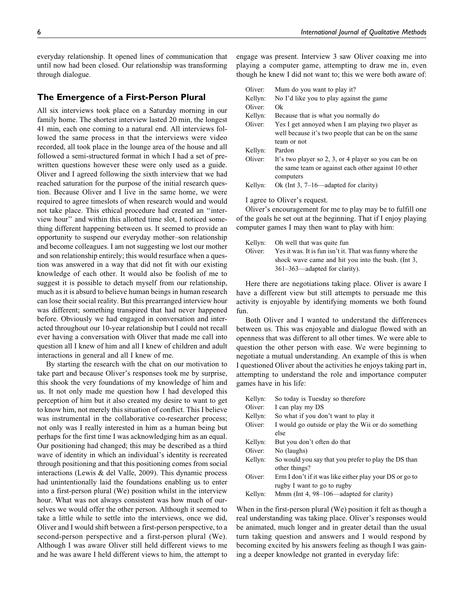everyday relationship. It opened lines of communication that until now had been closed. Our relationship was transforming through dialogue.

### The Emergence of a First-Person Plural

All six interviews took place on a Saturday morning in our family home. The shortest interview lasted 20 min, the longest 41 min, each one coming to a natural end. All interviews followed the same process in that the interviews were video recorded, all took place in the lounge area of the house and all followed a semi-structured format in which I had a set of prewritten questions however these were only used as a guide. Oliver and I agreed following the sixth interview that we had reached saturation for the purpose of the initial research question. Because Oliver and I live in the same home, we were required to agree timeslots of when research would and would not take place. This ethical procedure had created an ''interview hour'' and within this allotted time slot, I noticed something different happening between us. It seemed to provide an opportunity to suspend our everyday mother–son relationship and become colleagues. I am not suggesting we lost our mother and son relationship entirely; this would resurface when a question was answered in a way that did not fit with our existing knowledge of each other. It would also be foolish of me to suggest it is possible to detach myself from our relationship, much as it is absurd to believe human beings in human research can lose their social reality. But this prearranged interview hour was different; something transpired that had never happened before. Obviously we had engaged in conversation and interacted throughout our 10-year relationship but I could not recall ever having a conversation with Oliver that made me call into question all I knew of him and all I knew of children and adult interactions in general and all I knew of me.

By starting the research with the chat on our motivation to take part and because Oliver's responses took me by surprise, this shook the very foundations of my knowledge of him and us. It not only made me question how I had developed this perception of him but it also created my desire to want to get to know him, not merely this situation of conflict. This I believe was instrumental in the collaborative co-researcher process; not only was I really interested in him as a human being but perhaps for the first time I was acknowledging him as an equal. Our positioning had changed; this may be described as a third wave of identity in which an individual's identity is recreated through positioning and that this positioning comes from social interactions (Lewis & del Valle, 2009). This dynamic process had unintentionally laid the foundations enabling us to enter into a first-person plural (We) position whilst in the interview hour. What was not always consistent was how much of ourselves we would offer the other person. Although it seemed to take a little while to settle into the interviews, once we did, Oliver and I would shift between a first-person perspective, to a second-person perspective and a first-person plural (We). Although I was aware Oliver still held different views to me and he was aware I held different views to him, the attempt to

engage was present. Interview 3 saw Oliver coaxing me into playing a computer game, attempting to draw me in, even though he knew I did not want to; this we were both aware of:

| Oliver: | Mum do you want to play it?                           |
|---------|-------------------------------------------------------|
| Kellyn: | No I'd like you to play against the game              |
| Oliver: | Ok                                                    |
| Kellyn: | Because that is what you normally do                  |
| Oliver: | Yes I get annoyed when I am playing two player as     |
|         | well because it's two people that can be on the same  |
|         | team or not                                           |
| Kellyn: | Pardon                                                |
| Oliver: | It's two player so 2, 3, or 4 player so you can be on |
|         | the same team or against each other against 10 other  |
|         | computers                                             |
| Kellyn: | Ok (Int 3, $7-16$ —adapted for clarity)               |

I agree to Oliver's request.

Oliver's encouragement for me to play may be to fulfill one of the goals he set out at the beginning. That if I enjoy playing computer games I may then want to play with him:

|         | Kellyn: Oh well that was quite fun                       |
|---------|----------------------------------------------------------|
| Oliver: | Yes it was. It is fun isn't it. That was funny where the |
|         | shock wave came and hit you into the bush. (Int 3,       |
|         | $361-363$ —adapted for clarity).                         |

Here there are negotiations taking place. Oliver is aware I have a different view but still attempts to persuade me this activity is enjoyable by identifying moments we both found fun.

Both Oliver and I wanted to understand the differences between us. This was enjoyable and dialogue flowed with an openness that was different to all other times. We were able to question the other person with ease. We were beginning to negotiate a mutual understanding. An example of this is when I questioned Oliver about the activities he enjoys taking part in, attempting to understand the role and importance computer games have in his life:

| Kellyn: | So today is Tuesday so therefore                        |
|---------|---------------------------------------------------------|
| Oliver: | I can play my DS                                        |
| Kellyn: | So what if you don't want to play it                    |
| Oliver: | I would go outside or play the Wii or do something      |
|         | else                                                    |
| Kellyn: | But you don't often do that                             |
| Oliver: | No (laughs)                                             |
| Kellyn: | So would you say that you prefer to play the DS than    |
|         | other things?                                           |
| Oliver: | Erm I don't if it was like either play your DS or go to |
|         | rugby I want to go to rugby                             |
| Kellyn: | Mmm (Int 4, $98-106$ —adapted for clarity)              |

When in the first-person plural (We) position it felt as though a real understanding was taking place. Oliver's responses would be animated, much longer and in greater detail than the usual turn taking question and answers and I would respond by becoming excited by his answers feeling as though I was gaining a deeper knowledge not granted in everyday life: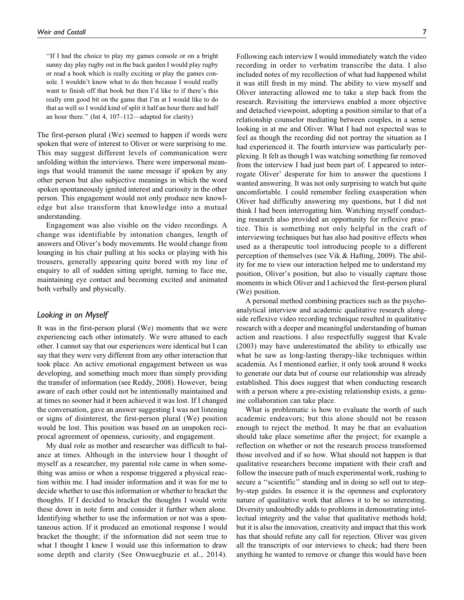''If I had the choice to play my games console or on a bright sunny day play rugby out in the back garden I would play rugby or read a book which is really exciting or play the games console. I wouldn't know what to do then because I would really want to finish off that book but then I'd like to if there's this really erm good bit on the game that I'm at I would like to do that as well so I would kind of split it half an hour there and half an hour there.'' (Int 4, 107–112—adapted for clarity)

The first-person plural (We) seemed to happen if words were spoken that were of interest to Oliver or were surprising to me. This may suggest different levels of communication were unfolding within the interviews. There were impersonal meanings that would transmit the same message if spoken by any other person but also subjective meanings in which the word spoken spontaneously ignited interest and curiosity in the other person. This engagement would not only produce new knowledge but also transform that knowledge into a mutual understanding.

Engagement was also visible on the video recordings. A change was identifiable by intonation changes, length of answers and Oliver's body movements. He would change from lounging in his chair pulling at his socks or playing with his trousers, generally appearing quite bored with my line of enquiry to all of sudden sitting upright, turning to face me, maintaining eye contact and becoming excited and animated both verbally and physically.

#### Looking in on Myself

It was in the first-person plural (We) moments that we were experiencing each other intimately. We were attuned to each other. I cannot say that our experiences were identical but I can say that they were very different from any other interaction that took place. An active emotional engagement between us was developing, and something much more than simply providing the transfer of information (see Reddy, 2008). However, being aware of each other could not be intentionally maintained and at times no sooner had it been achieved it was lost. If I changed the conversation, gave an answer suggesting I was not listening or signs of disinterest, the first-person plural (We) position would be lost. This position was based on an unspoken reciprocal agreement of openness, curiosity, and engagement.

My dual role as mother and researcher was difficult to balance at times. Although in the interview hour I thought of myself as a researcher, my parental role came in when something was amiss or when a response triggered a physical reaction within me. I had insider information and it was for me to decide whether to use this information or whether to bracket the thoughts. If I decided to bracket the thoughts I would write these down in note form and consider it further when alone. Identifying whether to use the information or not was a spontaneous action. If it produced an emotional response I would bracket the thought; if the information did not seem true to what I thought I knew I would use this information to draw some depth and clarity (See Onwuegbuzie et al., 2014).

Following each interview I would immediately watch the video recording in order to verbatim transcribe the data. I also included notes of my recollection of what had happened whilst it was still fresh in my mind. The ability to view myself and Oliver interacting allowed me to take a step back from the research. Revisiting the interviews enabled a more objective and detached viewpoint, adopting a position similar to that of a relationship counselor mediating between couples, in a sense looking in at me and Oliver. What I had not expected was to feel as though the recording did not portray the situation as I had experienced it. The fourth interview was particularly perplexing. It felt as though I was watching something far removed from the interview I had just been part of. I appeared to interrogate Oliver' desperate for him to answer the questions I wanted answering. It was not only surprising to watch but quite uncomfortable. I could remember feeling exasperation when Oliver had difficulty answering my questions, but I did not think I had been interrogating him. Watching myself conducting research also provided an opportunity for reflexive practice. This is something not only helpful in the craft of interviewing techniques but has also had positive effects when used as a therapeutic tool introducing people to a different perception of themselves (see Vik & Hafting, 2009). The ability for me to view our interaction helped me to understand my position, Oliver's position, but also to visually capture those moments in which Oliver and I achieved the first-person plural (We) position.

A personal method combining practices such as the psychoanalytical interview and academic qualitative research alongside reflexive video recording technique resulted in qualitative research with a deeper and meaningful understanding of human action and reactions. I also respectfully suggest that Kvale (2003) may have underestimated the ability to ethically use what he saw as long-lasting therapy-like techniques within academia. As I mentioned earlier, it only took around 8 weeks to generate our data but of course our relationship was already established. This does suggest that when conducting research with a person where a pre-existing relationship exists, a genuine collaboration can take place.

What is problematic is how to evaluate the worth of such academic endeavors; but this alone should not be reason enough to reject the method. It may be that an evaluation should take place sometime after the project; for example a reflection on whether or not the research process transformed those involved and if so how. What should not happen is that qualitative researchers become impatient with their craft and follow the insecure path of much experimental work, rushing to secure a "scientific" standing and in doing so sell out to stepby-step guides. In essence it is the openness and exploratory nature of qualitative work that allows it to be so interesting. Diversity undoubtedly adds to problems in demonstrating intellectual integrity and the value that qualitative methods hold; but it is also the innovation, creativity and impact that this work has that should refute any call for rejection. Oliver was given all the transcripts of our interviews to check; had there been anything he wanted to remove or change this would have been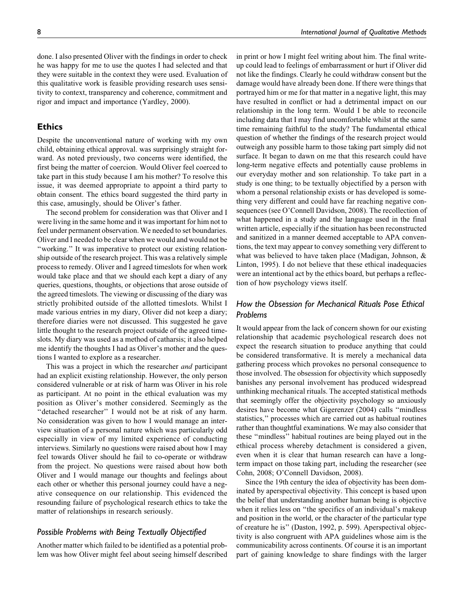done. I also presented Oliver with the findings in order to check he was happy for me to use the quotes I had selected and that they were suitable in the context they were used. Evaluation of this qualitative work is feasible providing research uses sensitivity to context, transparency and coherence, commitment and rigor and impact and importance (Yardley, 2000).

### **Ethics**

Despite the unconventional nature of working with my own child, obtaining ethical approval. was surprisingly straight forward. As noted previously, two concerns were identified, the first being the matter of coercion. Would Oliver feel coerced to take part in this study because I am his mother? To resolve this issue, it was deemed appropriate to appoint a third party to obtain consent. The ethics board suggested the third party in this case, amusingly, should be Oliver's father.

The second problem for consideration was that Oliver and I were living in the same home and it was important for him not to feel under permanent observation. We needed to set boundaries. Oliver and I needed to be clear when we would and would not be "working." It was imperative to protect our existing relationship outside of the research project. This was a relatively simple process to remedy. Oliver and I agreed timeslots for when work would take place and that we should each kept a diary of any queries, questions, thoughts, or objections that arose outside of the agreed timeslots. The viewing or discussing of the diary was strictly prohibited outside of the allotted timeslots. Whilst I made various entries in my diary, Oliver did not keep a diary; therefore diaries were not discussed. This suggested he gave little thought to the research project outside of the agreed timeslots. My diary was used as a method of catharsis; it also helped me identify the thoughts I had as Oliver's mother and the questions I wanted to explore as a researcher.

This was a project in which the researcher *and* participant had an explicit existing relationship. However, the only person considered vulnerable or at risk of harm was Oliver in his role as participant. At no point in the ethical evaluation was my position as Oliver's mother considered. Seemingly as the ''detached researcher'' I would not be at risk of any harm. No consideration was given to how I would manage an interview situation of a personal nature which was particularly odd especially in view of my limited experience of conducting interviews. Similarly no questions were raised about how I may feel towards Oliver should he fail to co-operate or withdraw from the project. No questions were raised about how both Oliver and I would manage our thoughts and feelings about each other or whether this personal journey could have a negative consequence on our relationship. This evidenced the resounding failure of psychological research ethics to take the matter of relationships in research seriously.

### Possible Problems with Being Textually Objectified

Another matter which failed to be identified as a potential problem was how Oliver might feel about seeing himself described in print or how I might feel writing about him. The final writeup could lead to feelings of embarrassment or hurt if Oliver did not like the findings. Clearly he could withdraw consent but the damage would have already been done. If there were things that portrayed him or me for that matter in a negative light, this may have resulted in conflict or had a detrimental impact on our relationship in the long term. Would I be able to reconcile including data that I may find uncomfortable whilst at the same time remaining faithful to the study? The fundamental ethical question of whether the findings of the research project would outweigh any possible harm to those taking part simply did not surface. It began to dawn on me that this research could have long-term negative effects and potentially cause problems in our everyday mother and son relationship. To take part in a study is one thing; to be textually objectified by a person with whom a personal relationship exists or has developed is something very different and could have far reaching negative consequences (see O'Connell Davidson, 2008). The recollection of what happened in a study and the language used in the final written article, especially if the situation has been reconstructed and sanitized in a manner deemed acceptable to APA conventions, the text may appear to convey something very different to what was believed to have taken place (Madigan, Johnson, & Linton, 1995). I do not believe that these ethical inadequacies were an intentional act by the ethics board, but perhaps a reflection of how psychology views itself.

# How the Obsession for Mechanical Rituals Pose Ethical Problems

It would appear from the lack of concern shown for our existing relationship that academic psychological research does not expect the research situation to produce anything that could be considered transformative. It is merely a mechanical data gathering process which provokes no personal consequence to those involved. The obsession for objectivity which supposedly banishes any personal involvement has produced widespread unthinking mechanical rituals. The accepted statistical methods that seemingly offer the objectivity psychology so anxiously desires have become what Gigerenzer (2004) calls ''mindless statistics,'' processes which are carried out as habitual routines rather than thoughtful examinations. We may also consider that these ''mindless'' habitual routines are being played out in the ethical process whereby detachment is considered a given, even when it is clear that human research can have a longterm impact on those taking part, including the researcher (see Cohn, 2008; O'Connell Davidson, 2008).

Since the 19th century the idea of objectivity has been dominated by aperspectival objectivity. This concept is based upon the belief that understanding another human being is objective when it relies less on ''the specifics of an individual's makeup and position in the world, or the character of the particular type of creature he is'' (Daston, 1992, p. 599). Aperspectival objectivity is also congruent with APA guidelines whose aim is the communicability across continents. Of course it is an important part of gaining knowledge to share findings with the larger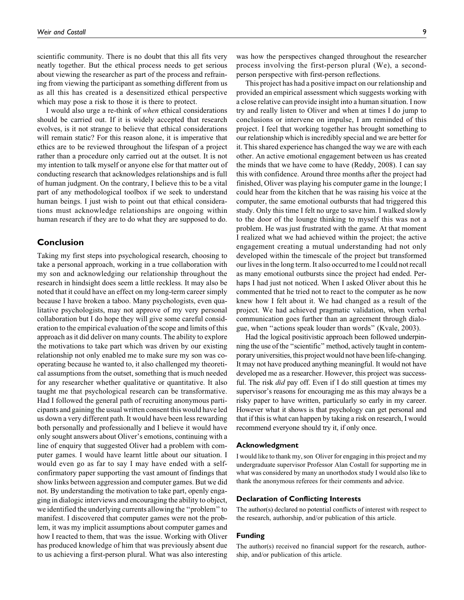scientific community. There is no doubt that this all fits very neatly together. But the ethical process needs to get serious about viewing the researcher as part of the process and refraining from viewing the participant as something different from us as all this has created is a desensitized ethical perspective which may pose a risk to those it is there to protect.

I would also urge a re-think of when ethical considerations should be carried out. If it is widely accepted that research evolves, is it not strange to believe that ethical considerations will remain static? For this reason alone, it is imperative that ethics are to be reviewed throughout the lifespan of a project rather than a procedure only carried out at the outset. It is not my intention to talk myself or anyone else for that matter out of conducting research that acknowledges relationships and is full of human judgment. On the contrary, I believe this to be a vital part of any methodological toolbox if we seek to understand human beings. I just wish to point out that ethical considerations must acknowledge relationships are ongoing within human research if they are to do what they are supposed to do.

### Conclusion

Taking my first steps into psychological research, choosing to take a personal approach, working in a true collaboration with my son and acknowledging our relationship throughout the research in hindsight does seem a little reckless. It may also be noted that it could have an effect on my long-term career simply because I have broken a taboo. Many psychologists, even qualitative psychologists, may not approve of my very personal collaboration but I do hope they will give some careful consideration to the empirical evaluation of the scope and limits of this approach as it did deliver on many counts. The ability to explore the motivations to take part which was driven by our existing relationship not only enabled me to make sure my son was cooperating because he wanted to, it also challenged my theoretical assumptions from the outset, something that is much needed for any researcher whether qualitative or quantitative. It also taught me that psychological research can be transformative. Had I followed the general path of recruiting anonymous participants and gaining the usual written consent this would have led us down a very different path. It would have been less rewarding both personally and professionally and I believe it would have only sought answers about Oliver's emotions, continuing with a line of enquiry that suggested Oliver had a problem with computer games. I would have learnt little about our situation. I would even go as far to say I may have ended with a selfconfirmatory paper supporting the vast amount of findings that show links between aggression and computer games. But we did not. By understanding the motivation to take part, openly engaging in dialogic interviews and encouraging the ability to object, we identified the underlying currents allowing the ''problem'' to manifest. I discovered that computer games were not the problem, it was my implicit assumptions about computer games and how I reacted to them, that was the issue. Working with Oliver has produced knowledge of him that was previously absent due to us achieving a first-person plural. What was also interesting was how the perspectives changed throughout the researcher process involving the first-person plural (We), a secondperson perspective with first-person reflections.

This project has had a positive impact on our relationship and provided an empirical assessment which suggests working with a close relative can provide insight into a human situation. I now try and really listen to Oliver and when at times I do jump to conclusions or intervene on impulse, I am reminded of this project. I feel that working together has brought something to our relationship which is incredibly special and we are better for it. This shared experience has changed the way we are with each other. An active emotional engagement between us has created the minds that we have come to have (Reddy, 2008). I can say this with confidence. Around three months after the project had finished, Oliver was playing his computer game in the lounge; I could hear from the kitchen that he was raising his voice at the computer, the same emotional outbursts that had triggered this study. Only this time I felt no urge to save him. I walked slowly to the door of the lounge thinking to myself this was not a problem. He was just frustrated with the game. At that moment I realized what we had achieved within the project; the active engagement creating a mutual understanding had not only developed within the timescale of the project but transformed our lives in the long term. It also occurred to me I could not recall as many emotional outbursts since the project had ended. Perhaps I had just not noticed. When I asked Oliver about this he commented that he tried not to react to the computer as he now knew how I felt about it. We had changed as a result of the project. We had achieved pragmatic validation, when verbal communication goes further than an agreement through dialogue, when ''actions speak louder than words'' (Kvale, 2003).

Had the logical positivistic approach been followed underpinning the use of the ''scientific'' method, actively taught in contemporary universities, this project would not have been life-changing. It may not have produced anything meaningful. It would not have developed me as a researcher. However, this project was successful. The risk did pay off. Even if I do still question at times my supervisor's reasons for encouraging me as this may always be a risky paper to have written, particularly so early in my career. However what it shows is that psychology can get personal and that if this is what can happen by taking a risk on research, I would recommend everyone should try it, if only once.

#### Acknowledgment

I would like to thank my, son Oliver for engaging in this project and my undergraduate supervisor Professor Alan Costall for supporting me in what was considered by many an unorthodox study I would also like to thank the anonymous referees for their comments and advice.

#### Declaration of Conflicting Interests

The author(s) declared no potential conflicts of interest with respect to the research, authorship, and/or publication of this article.

#### Funding

The author(s) received no financial support for the research, authorship, and/or publication of this article.